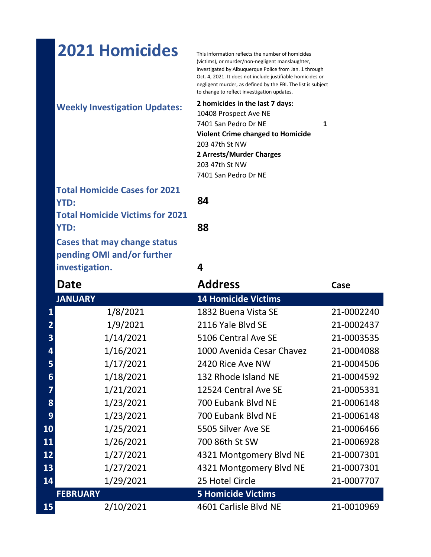|                         | <b>2021 Homicides</b>                  | This information reflects the number of homicides<br>(victims), or murder/non-negligent manslaughter,<br>investigated by Albuquerque Police from Jan. 1 through<br>Oct. 4, 2021. It does not include justifiable homicides or<br>negligent murder, as defined by the FBI. The list is subject<br>to change to reflect investigation updates. |            |
|-------------------------|----------------------------------------|----------------------------------------------------------------------------------------------------------------------------------------------------------------------------------------------------------------------------------------------------------------------------------------------------------------------------------------------|------------|
|                         | <b>Weekly Investigation Updates:</b>   | 2 homicides in the last 7 days:<br>10408 Prospect Ave NE<br>7401 San Pedro Dr NE<br>1<br><b>Violent Crime changed to Homicide</b><br>203 47th St NW<br>2 Arrests/Murder Charges<br>203 47th St NW<br>7401 San Pedro Dr NE                                                                                                                    |            |
|                         | <b>Total Homicide Cases for 2021</b>   |                                                                                                                                                                                                                                                                                                                                              |            |
|                         | <b>YTD:</b>                            | 84                                                                                                                                                                                                                                                                                                                                           |            |
|                         | <b>Total Homicide Victims for 2021</b> |                                                                                                                                                                                                                                                                                                                                              |            |
|                         | <b>YTD:</b>                            | 88                                                                                                                                                                                                                                                                                                                                           |            |
|                         | <b>Cases that may change status</b>    |                                                                                                                                                                                                                                                                                                                                              |            |
|                         | pending OMI and/or further             |                                                                                                                                                                                                                                                                                                                                              |            |
|                         | investigation.                         | 4                                                                                                                                                                                                                                                                                                                                            |            |
|                         |                                        |                                                                                                                                                                                                                                                                                                                                              |            |
|                         | Date                                   | <b>Address</b>                                                                                                                                                                                                                                                                                                                               | Case       |
|                         | <b>JANUARY</b>                         | <b>14 Homicide Victims</b>                                                                                                                                                                                                                                                                                                                   |            |
| $\mathbf{1}$            | 1/8/2021                               | 1832 Buena Vista SE                                                                                                                                                                                                                                                                                                                          | 21-0002240 |
| $\overline{2}$          | 1/9/2021                               | 2116 Yale Blyd SE                                                                                                                                                                                                                                                                                                                            | 21-0002437 |
| 3                       | 1/14/2021                              | 5106 Central Ave SE                                                                                                                                                                                                                                                                                                                          | 21-0003535 |
| 4                       | 1/16/2021                              | 1000 Avenida Cesar Chavez                                                                                                                                                                                                                                                                                                                    | 21-0004088 |
| 5                       | 1/17/2021                              | 2420 Rice Ave NW                                                                                                                                                                                                                                                                                                                             | 21-0004506 |
| 6                       | 1/18/2021                              | 132 Rhode Island NE                                                                                                                                                                                                                                                                                                                          | 21-0004592 |
| $\overline{\mathbf{z}}$ | 1/21/2021                              | 12524 Central Ave SE                                                                                                                                                                                                                                                                                                                         | 21-0005331 |
| 8                       | 1/23/2021                              | 700 Eubank Blvd NE                                                                                                                                                                                                                                                                                                                           | 21-0006148 |
| 9                       | 1/23/2021                              | 700 Eubank Blvd NE                                                                                                                                                                                                                                                                                                                           | 21-0006148 |
| 10                      | 1/25/2021                              | 5505 Silver Ave SE                                                                                                                                                                                                                                                                                                                           | 21-0006466 |
| 11                      | 1/26/2021                              | 700 86th St SW                                                                                                                                                                                                                                                                                                                               | 21-0006928 |
| 12                      | 1/27/2021                              | 4321 Montgomery Blvd NE                                                                                                                                                                                                                                                                                                                      | 21-0007301 |
| 13                      | 1/27/2021                              | 4321 Montgomery Blvd NE                                                                                                                                                                                                                                                                                                                      | 21-0007301 |
| 14                      | 1/29/2021                              | 25 Hotel Circle                                                                                                                                                                                                                                                                                                                              | 21-0007707 |
| 15                      | <b>FEBRUARY</b><br>2/10/2021           | <b>5 Homicide Victims</b><br>4601 Carlisle Blvd NE                                                                                                                                                                                                                                                                                           | 21-0010969 |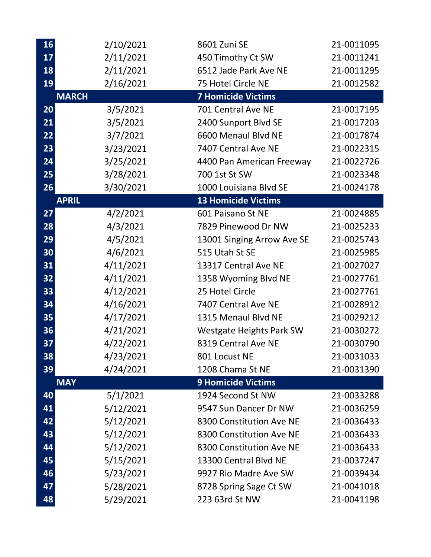| 16 | 2/10/2021    | 8601 Zuni SE                    | 21-0011095 |
|----|--------------|---------------------------------|------------|
| 17 | 2/11/2021    | 450 Timothy Ct SW               | 21-0011241 |
| 18 | 2/11/2021    | 6512 Jade Park Ave NE           | 21-0011295 |
| 19 | 2/16/2021    | 75 Hotel Circle NE              | 21-0012582 |
|    | <b>MARCH</b> | <b>7 Homicide Victims</b>       |            |
| 20 | 3/5/2021     | 701 Central Ave NE              | 21-0017195 |
| 21 | 3/5/2021     | 2400 Sunport Blvd SE            | 21-0017203 |
| 22 | 3/7/2021     | 6600 Menaul Blvd NE             | 21-0017874 |
| 23 | 3/23/2021    | 7407 Central Ave NE             | 21-0022315 |
| 24 | 3/25/2021    | 4400 Pan American Freeway       | 21-0022726 |
| 25 | 3/28/2021    | 700 1st St SW                   | 21-0023348 |
| 26 | 3/30/2021    | 1000 Louisiana Blvd SE          | 21-0024178 |
|    | <b>APRIL</b> | <b>13 Homicide Victims</b>      |            |
| 27 | 4/2/2021     | 601 Paisano St NE               | 21-0024885 |
| 28 | 4/3/2021     | 7829 Pinewood Dr NW             | 21-0025233 |
| 29 | 4/5/2021     | 13001 Singing Arrow Ave SE      | 21-0025743 |
| 30 | 4/6/2021     | 515 Utah St SE                  | 21-0025985 |
| 31 | 4/11/2021    | 13317 Central Ave NE            | 21-0027027 |
| 32 | 4/11/2021    | 1358 Wyoming Blvd NE            | 21-0027761 |
| 33 | 4/12/2021    | 25 Hotel Circle                 | 21-0027761 |
| 34 | 4/16/2021    | 7407 Central Ave NE             | 21-0028912 |
| 35 | 4/17/2021    | 1315 Menaul Blvd NE             | 21-0029212 |
| 36 | 4/21/2021    | <b>Westgate Heights Park SW</b> | 21-0030272 |
| 37 | 4/22/2021    | 8319 Central Ave NE             | 21-0030790 |
| 38 | 4/23/2021    | 801 Locust NE                   | 21-0031033 |
| 39 | 4/24/2021    | 1208 Chama St NE                | 21-0031390 |
|    | <b>MAY</b>   | <b>9 Homicide Victims</b>       |            |
| 40 | 5/1/2021     | 1924 Second St NW               | 21-0033288 |
| 41 | 5/12/2021    | 9547 Sun Dancer Dr NW           | 21-0036259 |
| 42 | 5/12/2021    | 8300 Constitution Ave NE        | 21-0036433 |
| 43 | 5/12/2021    | 8300 Constitution Ave NE        | 21-0036433 |
| 44 | 5/12/2021    | 8300 Constitution Ave NE        | 21-0036433 |
| 45 | 5/15/2021    | 13300 Central Blvd NE           | 21-0037247 |
| 46 | 5/23/2021    | 9927 Rio Madre Ave SW           | 21-0039434 |
| 47 | 5/28/2021    | 8728 Spring Sage Ct SW          | 21-0041018 |
| 48 | 5/29/2021    | 223 63rd St NW                  | 21-0041198 |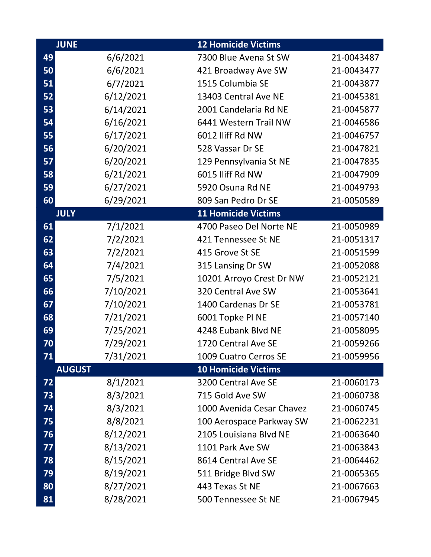|    | <b>JUNE</b>   | <b>12 Homicide Victims</b> |            |
|----|---------------|----------------------------|------------|
| 49 | 6/6/2021      | 7300 Blue Avena St SW      | 21-0043487 |
| 50 | 6/6/2021      | 421 Broadway Ave SW        | 21-0043477 |
| 51 | 6/7/2021      | 1515 Columbia SE           | 21-0043877 |
| 52 | 6/12/2021     | 13403 Central Ave NE       | 21-0045381 |
| 53 | 6/14/2021     | 2001 Candelaria Rd NE      | 21-0045877 |
| 54 | 6/16/2021     | 6441 Western Trail NW      | 21-0046586 |
| 55 | 6/17/2021     | 6012 Iliff Rd NW           | 21-0046757 |
| 56 | 6/20/2021     | 528 Vassar Dr SE           | 21-0047821 |
| 57 | 6/20/2021     | 129 Pennsylvania St NE     | 21-0047835 |
| 58 | 6/21/2021     | 6015 Iliff Rd NW           | 21-0047909 |
| 59 | 6/27/2021     | 5920 Osuna Rd NE           | 21-0049793 |
| 60 | 6/29/2021     | 809 San Pedro Dr SE        | 21-0050589 |
|    | <b>JULY</b>   | <b>11 Homicide Victims</b> |            |
| 61 | 7/1/2021      | 4700 Paseo Del Norte NE    | 21-0050989 |
| 62 | 7/2/2021      | 421 Tennessee St NE        | 21-0051317 |
| 63 | 7/2/2021      | 415 Grove St SE            | 21-0051599 |
| 64 | 7/4/2021      | 315 Lansing Dr SW          | 21-0052088 |
| 65 | 7/5/2021      | 10201 Arroyo Crest Dr NW   | 21-0052121 |
| 66 | 7/10/2021     | 320 Central Ave SW         | 21-0053641 |
| 67 | 7/10/2021     | 1400 Cardenas Dr SE        | 21-0053781 |
| 68 | 7/21/2021     | 6001 Topke PI NE           | 21-0057140 |
| 69 | 7/25/2021     | 4248 Eubank Blvd NE        | 21-0058095 |
| 70 | 7/29/2021     | 1720 Central Ave SE        | 21-0059266 |
| 71 | 7/31/2021     | 1009 Cuatro Cerros SE      | 21-0059956 |
|    | <b>AUGUST</b> | <b>10 Homicide Victims</b> |            |
| 72 | 8/1/2021      | 3200 Central Ave SE        | 21-0060173 |
| 73 | 8/3/2021      | 715 Gold Ave SW            | 21-0060738 |
| 74 | 8/3/2021      | 1000 Avenida Cesar Chavez  | 21-0060745 |
| 75 | 8/8/2021      | 100 Aerospace Parkway SW   | 21-0062231 |
| 76 | 8/12/2021     | 2105 Louisiana Blvd NE     | 21-0063640 |
| 77 | 8/13/2021     | 1101 Park Ave SW           | 21-0063843 |
| 78 | 8/15/2021     | 8614 Central Ave SE        | 21-0064462 |
| 79 | 8/19/2021     | 511 Bridge Blvd SW         | 21-0065365 |
| 80 | 8/27/2021     | 443 Texas St NE            | 21-0067663 |
| 81 | 8/28/2021     | 500 Tennessee St NE        | 21-0067945 |